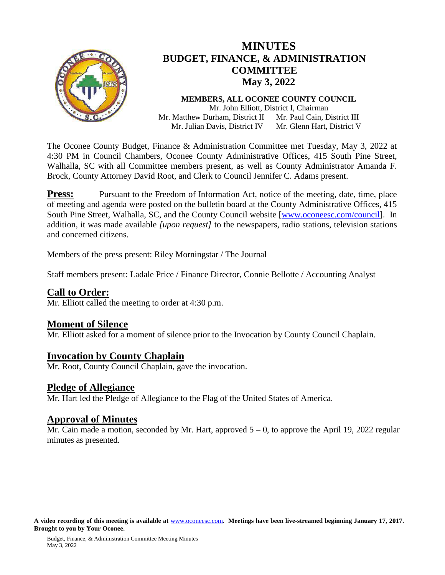

# **MINUTES BUDGET, FINANCE, & ADMINISTRATION COMMITTEE May 3, 2022**

**MEMBERS, ALL OCONEE COUNTY COUNCIL** Mr. John Elliott, District I, Chairman Mr. Matthew Durham, District II Mr. Julian Davis, District IV Mr. Paul Cain, District III Mr. Glenn Hart, District V

The Oconee County Budget, Finance & Administration Committee met Tuesday, May 3, 2022 at 4:30 PM in Council Chambers, Oconee County Administrative Offices, 415 South Pine Street, Walhalla, SC with all Committee members present, as well as County Administrator Amanda F. Brock, County Attorney David Root, and Clerk to Council Jennifer C. Adams present.

**Press:** Pursuant to the Freedom of Information Act, notice of the meeting, date, time, place of meeting and agenda were posted on the bulletin board at the County Administrative Offices, 415 South Pine Street, Walhalla, SC, and the County Council website [\[www.oconeesc.com/council\]](http://www.oconeesc.com/council). In addition, it was made available *[upon request]* to the newspapers, radio stations, television stations and concerned citizens.

Members of the press present: Riley Morningstar / The Journal

Staff members present: Ladale Price / Finance Director, Connie Bellotte / Accounting Analyst

## **Call to Order:**

Mr. Elliott called the meeting to order at 4:30 p.m.

## **Moment of Silence**

Mr. Elliott asked for a moment of silence prior to the Invocation by County Council Chaplain.

## **Invocation by County Chaplain**

Mr. Root, County Council Chaplain, gave the invocation.

## **Pledge of Allegiance**

Mr. Hart led the Pledge of Allegiance to the Flag of the United States of America.

**Approval of Minutes**<br>Mr. Cain made a motion, seconded by Mr. Hart, approved 5 – 0, to approve the April 19, 2022 regular minutes as presented.

**A video recording of this meeting is available at** [www.oconeesc.com.](http://www.oconeesc.com/) **Meetings have been live-streamed beginning January 17, 2017. Brought to you by Your Oconee.**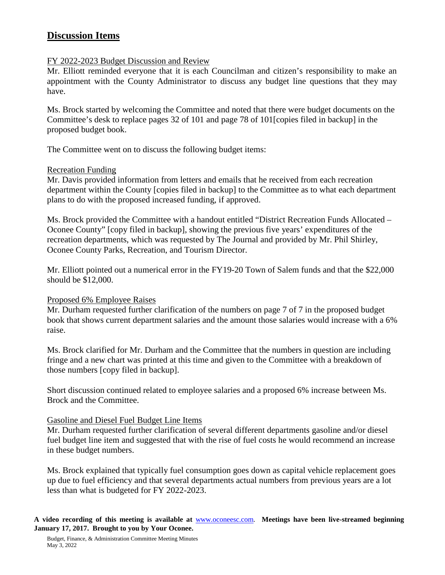# **Discussion Items**

### FY 2022-2023 Budget Discussion and Review

Mr. Elliott reminded everyone that it is each Councilman and citizen's responsibility to make an appointment with the County Administrator to discuss any budget line questions that they may have.

Ms. Brock started by welcoming the Committee and noted that there were budget documents on the Committee's desk to replace pages 32 of 101 and page 78 of 101[copies filed in backup] in the proposed budget book.

The Committee went on to discuss the following budget items:

## Recreation Funding

Mr. Davis provided information from letters and emails that he received from each recreation department within the County [copies filed in backup] to the Committee as to what each department plans to do with the proposed increased funding, if approved.

Ms. Brock provided the Committee with a handout entitled "District Recreation Funds Allocated – Oconee County" [copy filed in backup], showing the previous five years' expenditures of the recreation departments, which was requested by The Journal and provided by Mr. Phil Shirley, Oconee County Parks, Recreation, and Tourism Director.

Mr. Elliott pointed out a numerical error in the FY19-20 Town of Salem funds and that the \$22,000 should be \$12,000.

## Proposed 6% Employee Raises

Mr. Durham requested further clarification of the numbers on page 7 of 7 in the proposed budget book that shows current department salaries and the amount those salaries would increase with a 6% raise.

Ms. Brock clarified for Mr. Durham and the Committee that the numbers in question are including fringe and a new chart was printed at this time and given to the Committee with a breakdown of those numbers [copy filed in backup].

Short discussion continued related to employee salaries and a proposed 6% increase between Ms. Brock and the Committee.

#### Gasoline and Diesel Fuel Budget Line Items

Mr. Durham requested further clarification of several different departments gasoline and/or diesel fuel budget line item and suggested that with the rise of fuel costs he would recommend an increase in these budget numbers.

Ms. Brock explained that typically fuel consumption goes down as capital vehicle replacement goes up due to fuel efficiency and that several departments actual numbers from previous years are a lot less than what is budgeted for FY 2022-2023.

**A video recording of this meeting is available at** [www.oconeesc.com.](http://www.oconeesc.com/) **Meetings have been live-streamed beginning January 17, 2017. Brought to you by Your Oconee.**